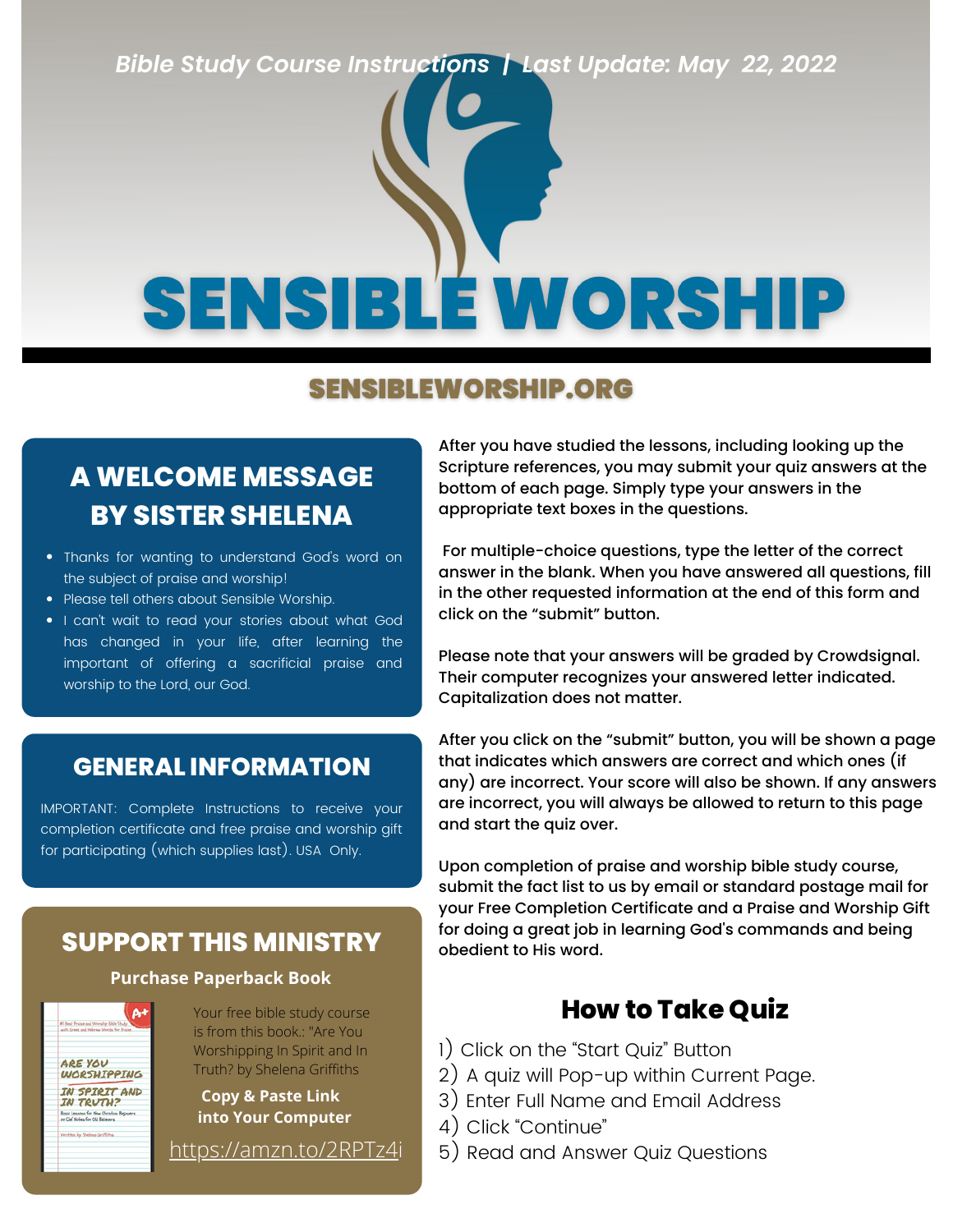*Bible Study Course Instructions | Last Update: May 22, 2022*

# **SENSIBLE WORSHIP**

#### **SENSIBLEWORSHIP.ORG**

#### **A WELCOME MESSAGE BY SISTER SHELENA**

- Thanks for wanting to understand God's word on the subject of praise and worship!
- Please tell others about Sensible Worship.
- I can't wait to read your stories about what God has changed in your life, after learning the important of offering a sacrificial praise and worship to the Lord, our God.

#### **GENERAL INFORMATION**

IMPORTANT: Complete Instructions to receive your completion certificate and free praise and worship gift for participating (which supplies last). USA Only.

#### **SUPPORT THIS MINISTRY** subsection to His word.

#### **Purchase Paperback Book**

 $At$ ARE YOU **WORSHIPPING** IN SPIRIT AND **IN TRUTH?** .<br>Bosic Lessous for New Overdian Begi<br>or Clef Notes for Old Belevers

Your free bible study course is from this book.: "Are You Worshipping In Spirit and In Truth? by Shelena Griffiths

**Copy & Paste Link into Your Computer**

After you have studied the lessons, including looking up the Scripture references, you may submit your quiz answers at the bottom of each page. Simply type your answers in the appropriate text boxes in the questions.

For multiple-choice questions, type the letter of the correct answer in the blank. When you have answered all questions, fill in the other requested information at the end of this form and click on the "submit" button.

Please note that your answers will be graded by Crowdsignal. Their computer recognizes your answered letter indicated. Capitalization does not matter.

After you click on the "submit" button, you will be shown a page that indicates which answers are correct and which ones (if any) are incorrect. Your score will also be shown. If any answers are incorrect, you will always be allowed to return to this page and start the quiz over.

Upon completion of praise and worship bible study course, submit the fact list to us by email or standard postage mail for your Free Completion Certificate and a Praise and Worship Gift for doing a great job in learning God's commands and being

#### **How to Take Quiz**

- 1) Click on the "Start Quiz" Button
- 2) A quiz will Pop-up within Current Page.
- 3) Enter Full Name and Email Address
- 4) Click "Continue"
- <https://amzn.to/2RPTz4i> 5) Read and Answer Quiz Questions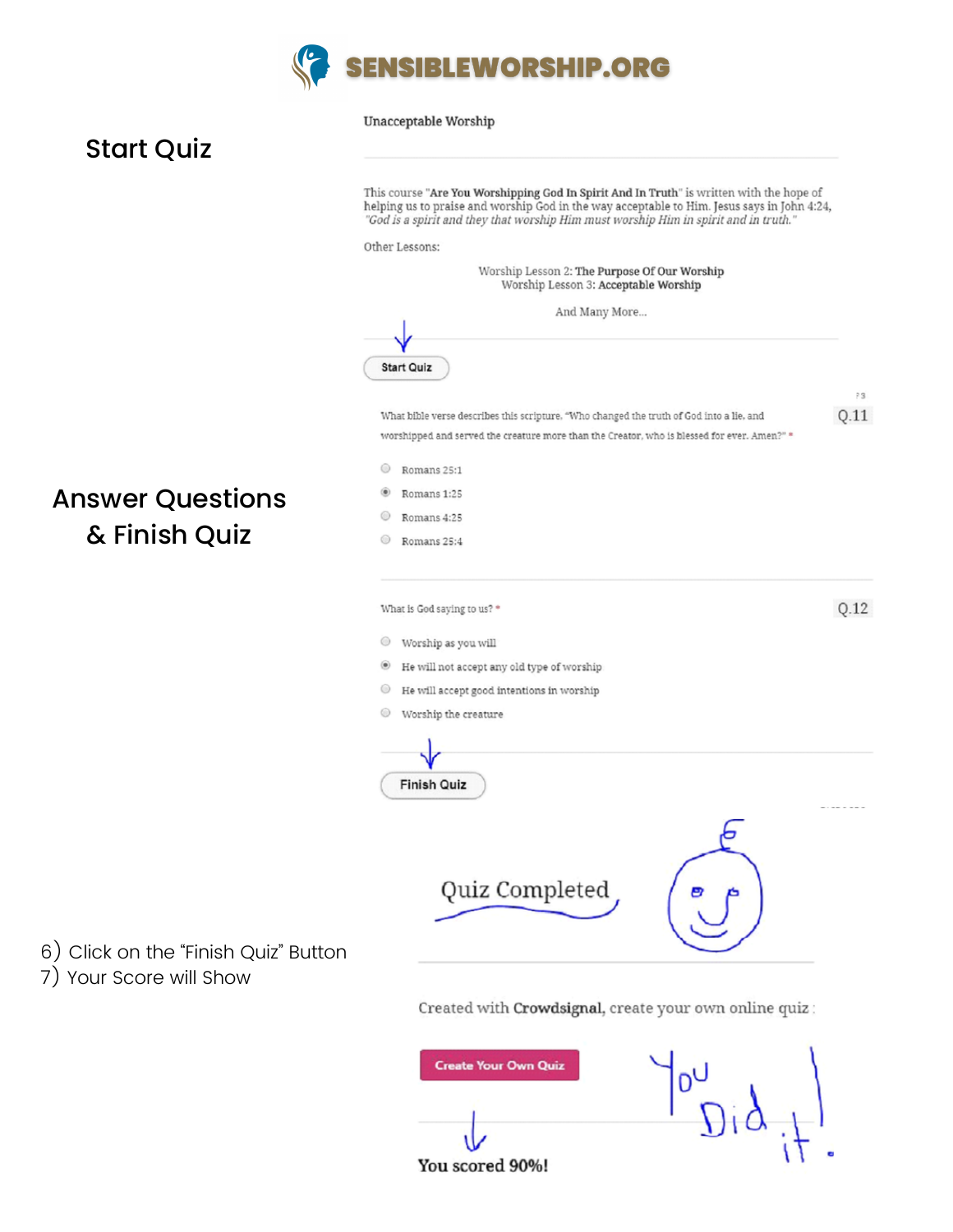

#### Unacceptable Worship

#### Start Quiz

|                                                                 | This course "Are You Worshipping God In Spirit And In Truth" is written with the hope of<br>helping us to praise and worship God in the way acceptable to Him. Jesus says in John 4:24,<br>"God is a spirit and they that worship Him must worship Him in spirit and in truth." |            |  |
|-----------------------------------------------------------------|---------------------------------------------------------------------------------------------------------------------------------------------------------------------------------------------------------------------------------------------------------------------------------|------------|--|
|                                                                 | Other Lessons:                                                                                                                                                                                                                                                                  |            |  |
|                                                                 | Worship Lesson 2: The Purpose Of Our Worship<br>Worship Lesson 3: Acceptable Worship                                                                                                                                                                                            |            |  |
|                                                                 | And Many More                                                                                                                                                                                                                                                                   |            |  |
|                                                                 |                                                                                                                                                                                                                                                                                 |            |  |
|                                                                 | <b>Start Quiz</b>                                                                                                                                                                                                                                                               |            |  |
|                                                                 | What bible verse describes this scripture, "Who changed the truth of God into a lie, and                                                                                                                                                                                        | 13<br>Q.11 |  |
|                                                                 | worshipped and served the creature more than the Creator, who is blessed for ever. Amen?" *                                                                                                                                                                                     |            |  |
|                                                                 | ⊙<br>Romans 25:1                                                                                                                                                                                                                                                                |            |  |
| <b>Answer Questions</b>                                         | Romans 1:25                                                                                                                                                                                                                                                                     |            |  |
| & Finish Quiz                                                   | ◉<br>Romans 4:25<br>◉<br>Romans 25:4                                                                                                                                                                                                                                            |            |  |
|                                                                 |                                                                                                                                                                                                                                                                                 |            |  |
|                                                                 | What is God saying to us? *                                                                                                                                                                                                                                                     | Q.12       |  |
|                                                                 |                                                                                                                                                                                                                                                                                 |            |  |
|                                                                 | ◉<br>Worship as you will<br>He will not accept any old type of worship<br>۰                                                                                                                                                                                                     |            |  |
|                                                                 | ⊙<br>He will accept good intentions in worship                                                                                                                                                                                                                                  |            |  |
|                                                                 | ⊙<br>Worship the creature                                                                                                                                                                                                                                                       |            |  |
|                                                                 |                                                                                                                                                                                                                                                                                 |            |  |
|                                                                 | <b>Finish Quiz</b>                                                                                                                                                                                                                                                              |            |  |
|                                                                 |                                                                                                                                                                                                                                                                                 |            |  |
| 6) Click on the "Finish Quiz" Button<br>7) Your Score will Show | Quiz Completed                                                                                                                                                                                                                                                                  |            |  |
|                                                                 | Created with Crowdsignal, create your own online quiz:                                                                                                                                                                                                                          |            |  |
|                                                                 | <b>Create Your Own Quiz</b><br>You scored 90%!                                                                                                                                                                                                                                  |            |  |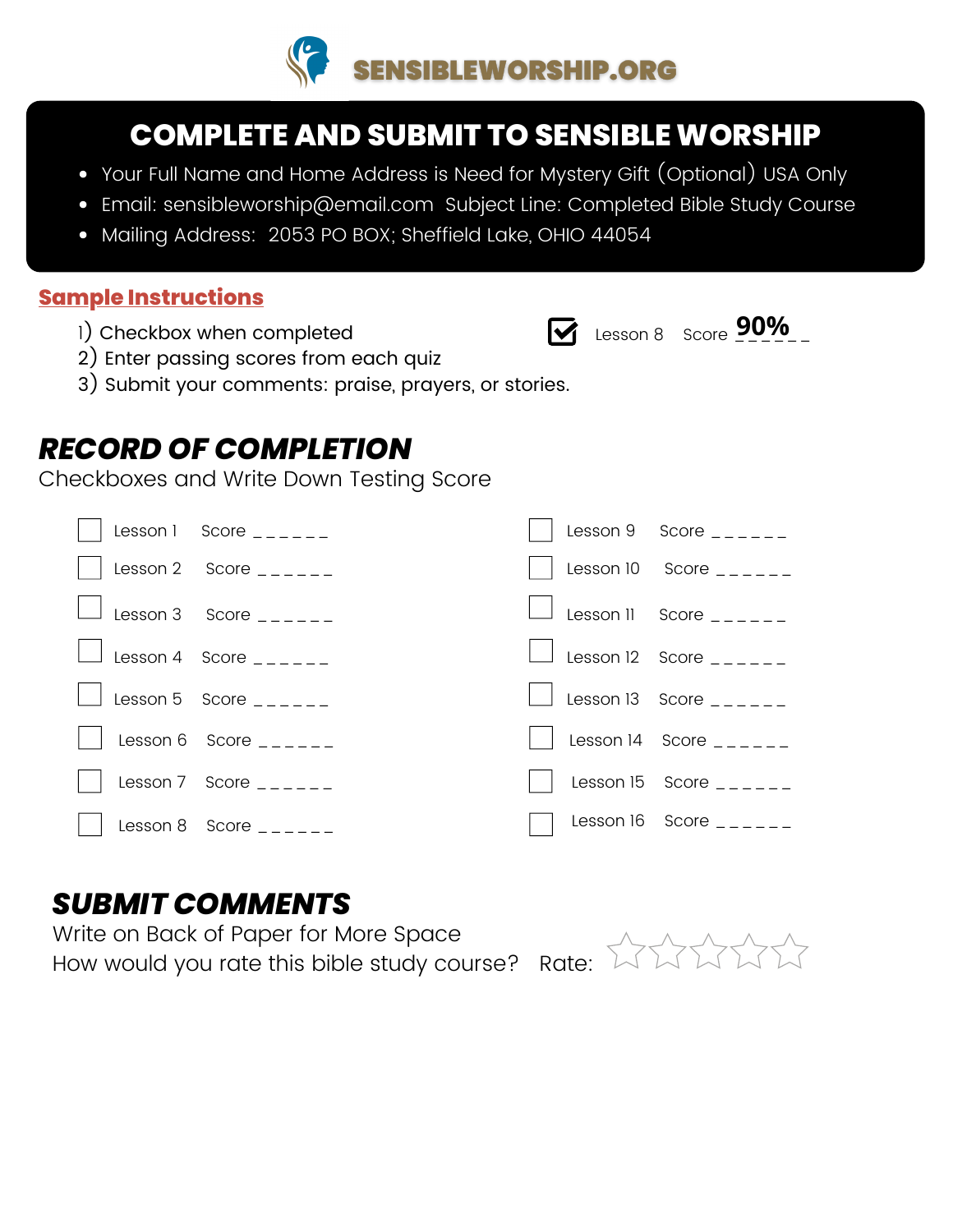

#### **COMPLETE AND SUBMIT TO SENSIBLE WORSHIP**

- Your Full Name and Home Address is Need for Mystery Gift (Optional) USA Only
- Email: sensibleworship@email.com Subject Line: Completed Bible Study Course
- Mailing Address: 2053 PO BOX; Sheffield Lake, OHIO 44054

#### **Sample Instructions**

1) Checkbox when completed



Lesson 8 Score \_\_\_\_\_\_ **90%**

- 2) Enter passing scores from each quiz
- 3) Submit your comments: praise, prayers, or stories.

#### *RECORD OF COMPLETION*

Checkboxes and Write Down Testing Score

|                              |  | Lesson 9 Score $\frac{1}{2}$                |
|------------------------------|--|---------------------------------------------|
| Lesson 2 Score $\frac{1}{2}$ |  | Lesson 10 Score $\frac{1}{2}$               |
| $\Box$ Lesson 3 Score $\_\_$ |  | $\Box$ Lesson II Score $\_\_$               |
| $\Box$ Lesson 4 Score $\Box$ |  | Lesson 12 Score $\frac{1}{2}$ $\frac{1}{2}$ |
| Lesson 5 Score $\frac{1}{2}$ |  | $\Box$ Lesson 13 Score $\_\_$               |
| Lesson 6 Score $\frac{1}{2}$ |  | Lesson 14 Score                             |
| Lesson 7 Score $\frac{1}{2}$ |  | Lesson 15 Score $\frac{1}{2}$               |
| Lesson 8 Score $\frac{1}{2}$ |  | Lesson 16 Score $\_\_$                      |

Write on Back of Paper for More Space How would you rate this bible study course? Rate: **SUBMIT COMMENTS**<br>Write on Back of Paper for More Space